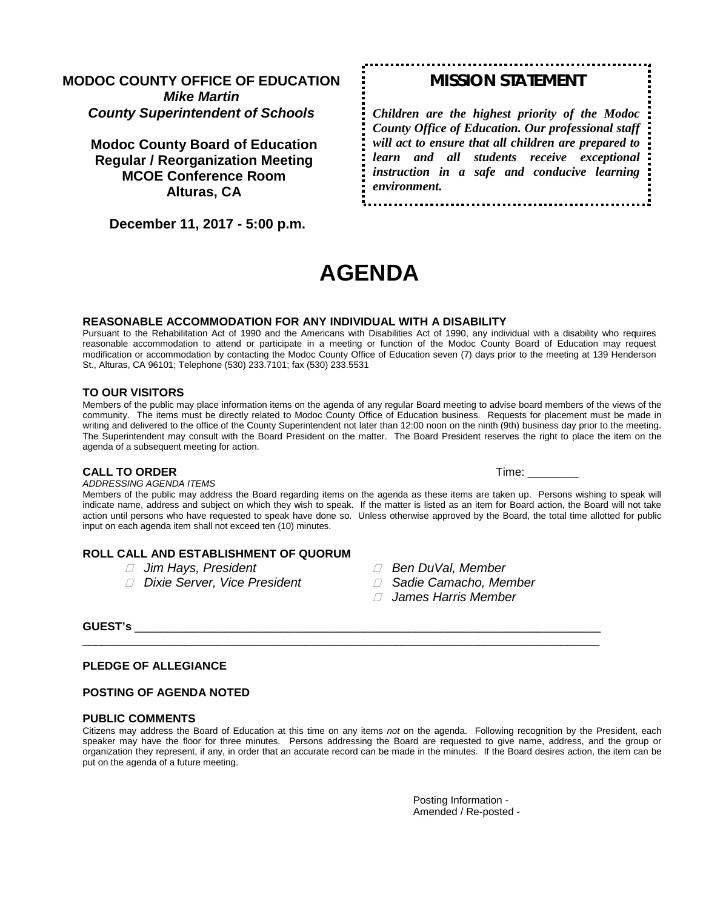# **MODOC COUNTY OFFICE OF EDUCATION** *Mike Martin County Superintendent of Schools*

**Modoc County Board of Education Regular / Reorganization Meeting MCOE Conference Room Alturas, CA**

 **December 11, 2017 - 5:00 p.m.** 

# *MISSION STATEMENT*

*Children are the highest priority of the Modoc County Office of Education. Our professional staff will act to ensure that all children are prepared to learn and all students receive exceptional instruction in a safe and conducive learning environment.*

# **AGENDA**

#### **REASONABLE ACCOMMODATION FOR ANY INDIVIDUAL WITH A DISABILITY**

Pursuant to the Rehabilitation Act of 1990 and the Americans with Disabilities Act of 1990, any individual with a disability who requires reasonable accommodation to attend or participate in a meeting or function of the Modoc County Board of Education may request modification or accommodation by contacting the Modoc County Office of Education seven (7) days prior to the meeting at 139 Henderson St., Alturas, CA 96101; Telephone (530) 233.7101; fax (530) 233.5531

#### **TO OUR VISITORS**

Members of the public may place information items on the agenda of any regular Board meeting to advise board members of the views of the community. The items must be directly related to Modoc County Office of Education business. Requests for placement must be made in writing and delivered to the office of the County Superintendent not later than 12:00 noon on the ninth (9th) business day prior to the meeting. The Superintendent may consult with the Board President on the matter. The Board President reserves the right to place the item on the agenda of a subsequent meeting for action.

#### **CALL TO ORDER Time:**  $\blacksquare$

*ADDRESSING AGENDA ITEMS*

Members of the public may address the Board regarding items on the agenda as these items are taken up. Persons wishing to speak will indicate name, address and subject on which they wish to speak. If the matter is listed as an item for Board action, the Board will not take action until persons who have requested to speak have done so. Unless otherwise approved by the Board, the total time allotted for public input on each agenda item shall not exceed ten (10) minutes.

#### **ROLL CALL AND ESTABLISHMENT OF QUORUM**

- 
- *Dixie Server, Vice President Sadie Camacho, Member*
- *Jim Hays, President Ben DuVal, Member*
	-
	- *James Harris Member*

### **GUEST's** \_\_\_\_\_\_\_\_\_\_\_\_\_\_\_\_\_\_\_\_\_\_\_\_\_\_\_\_\_\_\_\_\_\_\_\_\_\_\_\_\_\_\_\_\_\_\_\_\_\_\_\_\_\_\_\_\_\_\_\_\_\_\_\_\_\_\_\_\_\_\_\_\_

#### **PLEDGE OF ALLEGIANCE**

#### **POSTING OF AGENDA NOTED**

#### **PUBLIC COMMENTS**

Citizens may address the Board of Education at this time on any items *not* on the agenda. Following recognition by the President, each speaker may have the floor for three minutes. Persons addressing the Board are requested to give name, address, and the group or organization they represent, if any, in order that an accurate record can be made in the minutes. If the Board desires action, the item can be put on the agenda of a future meeting.

\_\_\_\_\_\_\_\_\_\_\_\_\_\_\_\_\_\_\_\_\_\_\_\_\_\_\_\_\_\_\_\_\_\_\_\_\_\_\_\_\_\_\_\_\_\_\_\_\_\_\_\_\_\_\_\_\_\_\_\_\_\_\_\_\_\_\_\_\_\_\_\_\_\_\_\_\_\_\_\_\_

Posting Information - Amended / Re-posted -